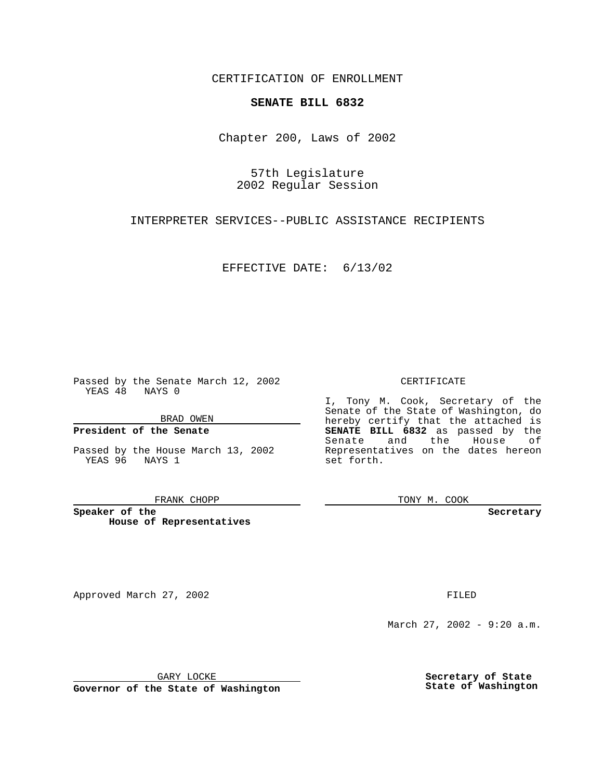CERTIFICATION OF ENROLLMENT

# **SENATE BILL 6832**

Chapter 200, Laws of 2002

57th Legislature 2002 Regular Session

INTERPRETER SERVICES--PUBLIC ASSISTANCE RECIPIENTS

EFFECTIVE DATE: 6/13/02

Passed by the Senate March 12, 2002 YEAS 48 NAYS 0

BRAD OWEN

### **President of the Senate**

Passed by the House March 13, 2002 YEAS 96 NAYS 1

#### FRANK CHOPP

**Speaker of the House of Representatives**

Approved March 27, 2002 **FILED** 

### CERTIFICATE

I, Tony M. Cook, Secretary of the Senate of the State of Washington, do hereby certify that the attached is **SENATE BILL 6832** as passed by the Senate and the House of Representatives on the dates hereon set forth.

TONY M. COOK

**Secretary**

March 27, 2002 - 9:20 a.m.

GARY LOCKE

**Governor of the State of Washington**

**Secretary of State State of Washington**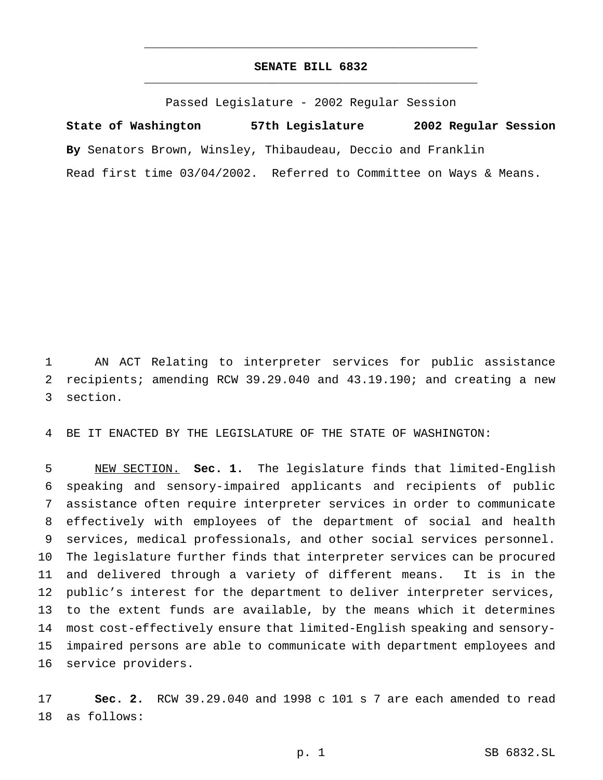# **SENATE BILL 6832** \_\_\_\_\_\_\_\_\_\_\_\_\_\_\_\_\_\_\_\_\_\_\_\_\_\_\_\_\_\_\_\_\_\_\_\_\_\_\_\_\_\_\_\_\_\_\_

\_\_\_\_\_\_\_\_\_\_\_\_\_\_\_\_\_\_\_\_\_\_\_\_\_\_\_\_\_\_\_\_\_\_\_\_\_\_\_\_\_\_\_\_\_\_\_

Passed Legislature - 2002 Regular Session

**State of Washington 57th Legislature 2002 Regular Session By** Senators Brown, Winsley, Thibaudeau, Deccio and Franklin Read first time 03/04/2002. Referred to Committee on Ways & Means.

 AN ACT Relating to interpreter services for public assistance recipients; amending RCW 39.29.040 and 43.19.190; and creating a new section.

BE IT ENACTED BY THE LEGISLATURE OF THE STATE OF WASHINGTON:

 NEW SECTION. **Sec. 1.** The legislature finds that limited-English speaking and sensory-impaired applicants and recipients of public assistance often require interpreter services in order to communicate effectively with employees of the department of social and health services, medical professionals, and other social services personnel. The legislature further finds that interpreter services can be procured and delivered through a variety of different means. It is in the public's interest for the department to deliver interpreter services, to the extent funds are available, by the means which it determines most cost-effectively ensure that limited-English speaking and sensory- impaired persons are able to communicate with department employees and service providers.

 **Sec. 2.** RCW 39.29.040 and 1998 c 101 s 7 are each amended to read as follows: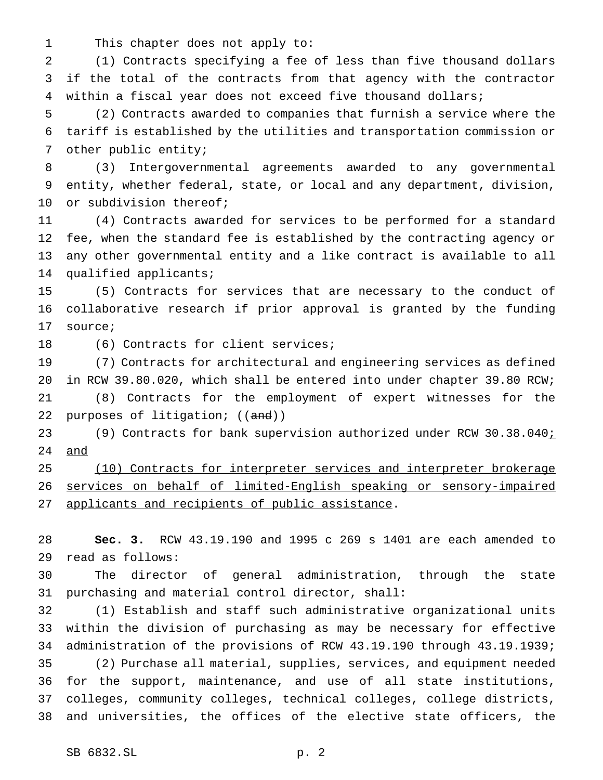This chapter does not apply to:

 (1) Contracts specifying a fee of less than five thousand dollars if the total of the contracts from that agency with the contractor within a fiscal year does not exceed five thousand dollars;

 (2) Contracts awarded to companies that furnish a service where the tariff is established by the utilities and transportation commission or other public entity;

 (3) Intergovernmental agreements awarded to any governmental entity, whether federal, state, or local and any department, division, 10 or subdivision thereof;

 (4) Contracts awarded for services to be performed for a standard fee, when the standard fee is established by the contracting agency or any other governmental entity and a like contract is available to all qualified applicants;

 (5) Contracts for services that are necessary to the conduct of collaborative research if prior approval is granted by the funding source;

18 (6) Contracts for client services;

 (7) Contracts for architectural and engineering services as defined in RCW 39.80.020, which shall be entered into under chapter 39.80 RCW; (8) Contracts for the employment of expert witnesses for the 22 purposes of litigation; ((and))

 (9) Contracts for bank supervision authorized under RCW 30.38.040; and

25 (10) Contracts for interpreter services and interpreter brokerage services on behalf of limited-English speaking or sensory-impaired 27 applicants and recipients of public assistance.

 **Sec. 3.** RCW 43.19.190 and 1995 c 269 s 1401 are each amended to read as follows:

 The director of general administration, through the state purchasing and material control director, shall:

 (1) Establish and staff such administrative organizational units within the division of purchasing as may be necessary for effective administration of the provisions of RCW 43.19.190 through 43.19.1939; (2) Purchase all material, supplies, services, and equipment needed for the support, maintenance, and use of all state institutions, colleges, community colleges, technical colleges, college districts, and universities, the offices of the elective state officers, the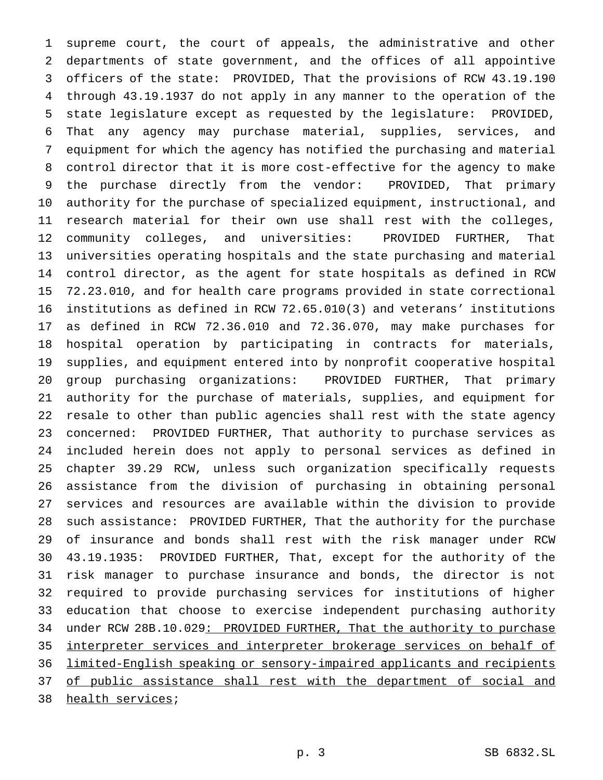supreme court, the court of appeals, the administrative and other departments of state government, and the offices of all appointive officers of the state: PROVIDED, That the provisions of RCW 43.19.190 through 43.19.1937 do not apply in any manner to the operation of the state legislature except as requested by the legislature: PROVIDED, That any agency may purchase material, supplies, services, and equipment for which the agency has notified the purchasing and material control director that it is more cost-effective for the agency to make the purchase directly from the vendor: PROVIDED, That primary authority for the purchase of specialized equipment, instructional, and research material for their own use shall rest with the colleges, community colleges, and universities: PROVIDED FURTHER, That universities operating hospitals and the state purchasing and material control director, as the agent for state hospitals as defined in RCW 72.23.010, and for health care programs provided in state correctional institutions as defined in RCW 72.65.010(3) and veterans' institutions as defined in RCW 72.36.010 and 72.36.070, may make purchases for hospital operation by participating in contracts for materials, supplies, and equipment entered into by nonprofit cooperative hospital group purchasing organizations: PROVIDED FURTHER, That primary authority for the purchase of materials, supplies, and equipment for resale to other than public agencies shall rest with the state agency concerned: PROVIDED FURTHER, That authority to purchase services as included herein does not apply to personal services as defined in chapter 39.29 RCW, unless such organization specifically requests assistance from the division of purchasing in obtaining personal services and resources are available within the division to provide such assistance: PROVIDED FURTHER, That the authority for the purchase of insurance and bonds shall rest with the risk manager under RCW 43.19.1935: PROVIDED FURTHER, That, except for the authority of the risk manager to purchase insurance and bonds, the director is not required to provide purchasing services for institutions of higher education that choose to exercise independent purchasing authority 34 under RCW 28B.10.029: PROVIDED FURTHER, That the authority to purchase interpreter services and interpreter brokerage services on behalf of limited-English speaking or sensory-impaired applicants and recipients 37 of public assistance shall rest with the department of social and health services;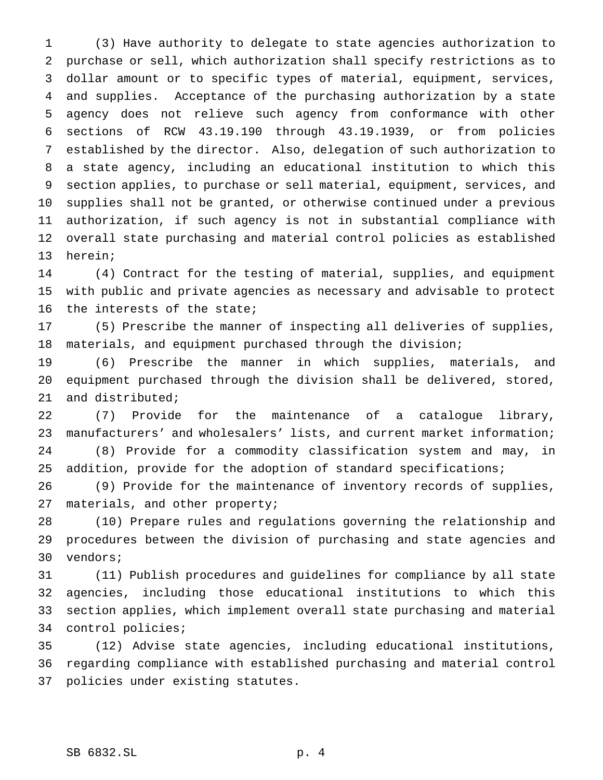(3) Have authority to delegate to state agencies authorization to purchase or sell, which authorization shall specify restrictions as to dollar amount or to specific types of material, equipment, services, and supplies. Acceptance of the purchasing authorization by a state agency does not relieve such agency from conformance with other sections of RCW 43.19.190 through 43.19.1939, or from policies established by the director. Also, delegation of such authorization to a state agency, including an educational institution to which this section applies, to purchase or sell material, equipment, services, and supplies shall not be granted, or otherwise continued under a previous authorization, if such agency is not in substantial compliance with overall state purchasing and material control policies as established herein;

 (4) Contract for the testing of material, supplies, and equipment with public and private agencies as necessary and advisable to protect the interests of the state;

 (5) Prescribe the manner of inspecting all deliveries of supplies, materials, and equipment purchased through the division;

 (6) Prescribe the manner in which supplies, materials, and equipment purchased through the division shall be delivered, stored, and distributed;

 (7) Provide for the maintenance of a catalogue library, manufacturers' and wholesalers' lists, and current market information; (8) Provide for a commodity classification system and may, in addition, provide for the adoption of standard specifications;

 (9) Provide for the maintenance of inventory records of supplies, 27 materials, and other property;

 (10) Prepare rules and regulations governing the relationship and procedures between the division of purchasing and state agencies and vendors;

 (11) Publish procedures and guidelines for compliance by all state agencies, including those educational institutions to which this section applies, which implement overall state purchasing and material control policies;

 (12) Advise state agencies, including educational institutions, regarding compliance with established purchasing and material control policies under existing statutes.